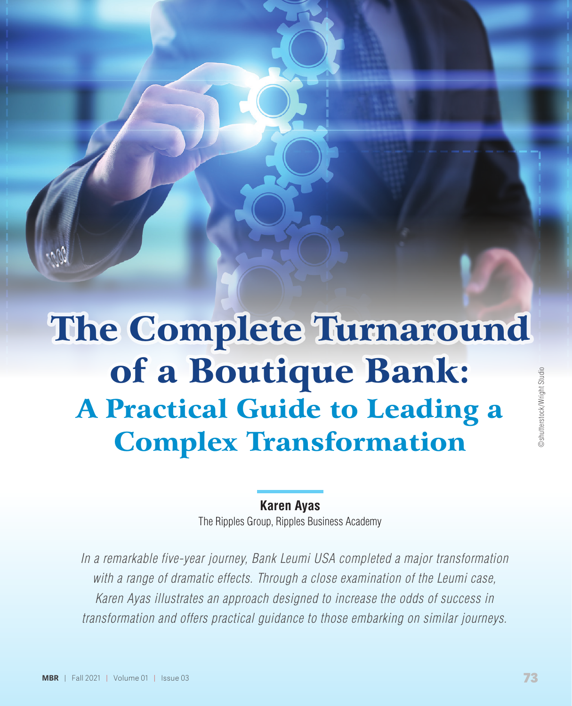# The Complete Turnaround of a Boutique Bank: Bank: A Practical Guide to Leading a Complex Transformation

# **Karen Ayas**

The Ripples Group, Ripples Business Academy

*In a remarkable five-year journey, Bank Leumi USA completed a major transformation with a range of dramatic effects. Through a close examination of the Leumi case, Karen Ayas illustrates an approach designed to increase the odds of success in transformation and offers practical guidance to those embarking on similar journeys.*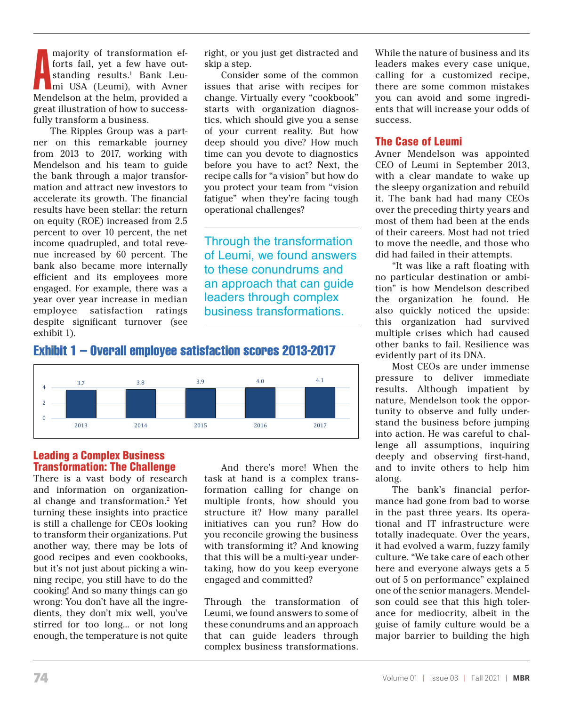majority of transformation efforts fail, yet a few have out-<br>standing results.<sup>1</sup> Bank Leu-<br>mi USA (Leumi), with Avner<br>Mendelson at the helm, provided a forts fail, yet a few have outstanding results.<sup>1</sup> Bank Leumi USA (Leumi), with Avner Mendelson at the helm, provided a great illustration of how to successfully transform a business.

The Ripples Group was a partner on this remarkable journey from 2013 to 2017, working with Mendelson and his team to guide the bank through a major transformation and attract new investors to accelerate its growth. The financial results have been stellar: the return on equity (ROE) increased from 2.5 percent to over 10 percent, the net income quadrupled, and total revenue increased by 60 percent. The bank also became more internally efficient and its employees more engaged. For example, there was a year over year increase in median employee satisfaction ratings despite significant turnover (see exhibit 1). was a year over  $\mathbf{u}$  increase in median satisfaction rating satisfaction rating  $\mathbf{u}$ 

right, or you just get distracted and skip a step.

Consider some of the common issues that arise with recipes for change. Virtually every "cookbook" starts with organization diagnostics, which should give you a sense of your current reality. But how deep should you dive? How much time can you devote to diagnostics before you have to act? Next, the recipe calls for "a vision" but how do you protect your team from "vision fatigue" when they're facing tough operational challenges?

Through the transformation of Leumi, we found answers to these conundrums and an approach that can guide leaders through complex business transformations.





# *<u>Example 20</u>* **<b>Complex Business** Transformation: The Challenge

There is a vast body of research and information on organization- formation calling fo al change and transformation.<sup>2</sup> Yet turning these insights into practice is still a challenge for CEOs looking to transform their organizations. Put another way, there may be lots of good recipes and even cookbooks, but it's not just about picking a winning recipe, you still have to do the cooking! And so many things can go wrong: You don't have all the ingredients, they don't mix well, you've stirred for too long... or not long enough, the temperature is not quite that can guide leaders

And there's more! When the task at hand is a complex transformation calling for change on multiple fronts, how should you these insights into practice structure it? How many parallel initiatives can you run? How do eir organizations. Put you reconcile growing the business with transforming it? And knowing that the may be lots of the transforming to the moving to the moving to the moving to the may be lots of good recipes and even cookbooks, that this will be a multi-year underout it's not just about picking a win-<br>and taking, how do you keep everyone engaged and committed?

Through the transformation of lients, they don't mix well, you've Leumi, we found answers to some of these conundrums and an approach that can guide leaders through complex business transformations. Consider some of the common issues that arise with recipes for change. Virtually

While the nature of business and its leaders makes every case unique, calling for a customized recipe, there are some common mistakes you can avoid and some ingredients that will increase your odds of success.

# The Case of Leumi

Avner Mendelson was appointed CEO of Leumi in September 2013, with a clear mandate to wake up the sleepy organization and rebuild it. The bank had had many CEOs over the preceding thirty years and most of them had been at the ends of their careers. Most had not tried to move the needle, and those who did had failed in their attempts.

"It was like a raft floating with no particular destination or ambition" is how Mendelson described the organization he found. He also quickly noticed the upside: this organization had survived multiple crises which had caused other banks to fail. Resilience was evidently part of its DNA.

Most CEOs are under immense pressure to deliver immediate results. Although impatient by nature, Mendelson took the opportunity to observe and fully understand the business before jumping into action. He was careful to challenge all assumptions, inquiring deeply and observing first-hand, and to invite others to help him along.

The bank's financial performance had gone from bad to worse in the past three years. Its operational and IT infrastructure were totally inadequate. Over the years, it had evolved a warm, fuzzy family culture. "We take care of each other here and everyone always gets a 5 out of 5 on performance" explained one of the senior managers. Mendelson could see that this high tolerance for mediocrity, albeit in the guise of family culture would be a major barrier to building the high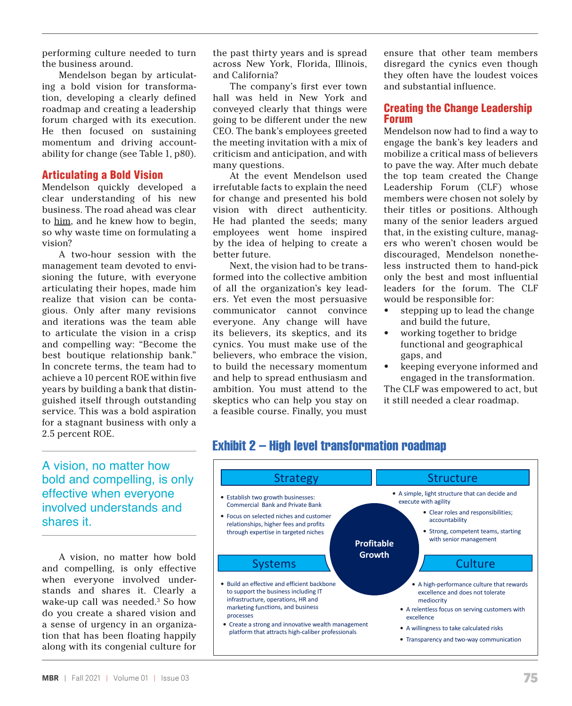performing culture needed to turn the business around.

Mendelson began by articulating a bold vision for transformation, developing a clearly defined roadmap and creating a leadership forum charged with its execution. He then focused on sustaining momentum and driving accountability for change (see Table 1, p80).

#### Articulating a Bold Vision

Mendelson quickly developed a clear understanding of his new business. The road ahead was clear to him, and he knew how to begin, so why waste time on formulating a vision?

A two-hour session with the management team devoted to envisioning the future, with everyone articulating their hopes, made him realize that vision can be contagious. Only after many revisions and iterations was the team able to articulate the vision in a crisp and compelling way: "Become the best boutique relationship bank." In concrete terms, the team had to achieve a 10 percent ROE within five years by building a bank that distinguished itself through outstanding service. This was a bold aspiration for a stagnant business with only a 2.5 percent ROE.

the past thirty years and is spread across New York, Florida, Illinois, and California?

The company's first ever town hall was held in New York and conveyed clearly that things were going to be different under the new CEO. The bank's employees greeted the meeting invitation with a mix of criticism and anticipation, and with many questions.

At the event Mendelson used irrefutable facts to explain the need for change and presented his bold vision with direct authenticity. He had planted the seeds; many employees went home inspired by the idea of helping to create a better future.

Next, the vision had to be transformed into the collective ambition of all the organization's key leaders. Yet even the most persuasive communicator cannot convince everyone. Any change will have its believers, its skeptics, and its cynics. You must make use of the believers, who embrace the vision, to build the necessary momentum and help to spread enthusiasm and ambition. You must attend to the skeptics who can help you stay on a feasible course. Finally, you must

Transformation Roadmap

ensure that other team members disregard the cynics even though they often have the loudest voices and substantial influence.

## Creating the Change Leadership Forum

Mendelson now had to find a way to engage the bank's key leaders and mobilize a critical mass of believers to pave the way. After much debate the top team created the Change Leadership Forum (CLF) whose members were chosen not solely by their titles or positions. Although many of the senior leaders argued that, in the existing culture, managers who weren't chosen would be discouraged, Mendelson nonetheless instructed them to hand-pick only the best and most influential leaders for the forum. The CLF would be responsible for:

- stepping up to lead the change and build the future,
- working together to bridge functional and geographical gaps, and
- keeping everyone informed and engaged in the transformation.

The CLF was empowered to act, but it still needed a clear roadmap.

A vision, no matter how bold and compelling, is only effective when everyone involved understands and shares it.

A vision, no matter how bold and compelling, is only effective when everyone involved understands and shares it. Clearly a wake-up call was needed.3 So how do you create a shared vision and a sense of urgency in an organization that has been floating happily along with its congenial culture for

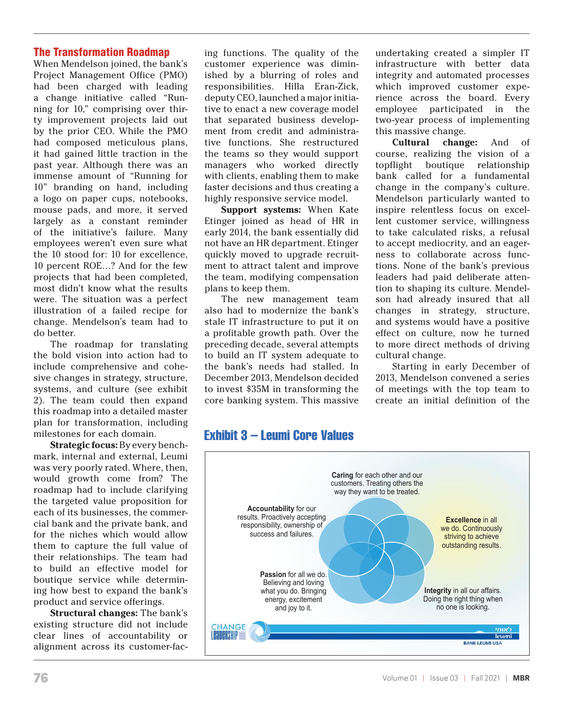# The Transformation Roadmap

When Mendelson joined, the bank's Project Management Office (PMO) had been charged with leading a change initiative called "Running for 10," comprising over thirty improvement projects laid out by the prior CEO. While the PMO had composed meticulous plans, it had gained little traction in the past year. Although there was an immense amount of "Running for 10" branding on hand, including a logo on paper cups, notebooks, mouse pads, and more, it served largely as a constant reminder of the initiative's failure. Many employees weren't even sure what the 10 stood for: 10 for excellence, 10 percent ROE…? And for the few projects that had been completed, most didn't know what the results were. The situation was a perfect illustration of a failed recipe for change. Mendelson's team had to do better.

The roadmap for translating the bold vision into action had to include comprehensive and cohesive changes in strategy, structure, systems, and culture (see exhibit 2). The team could then expand this roadmap into a detailed master plan for transformation, including milestones for each domain.

**Strategic focus:** By every benchmark, internal and external, Leumi was very poorly rated. Where, then, would growth come from? The roadmap had to include clarifying the targeted value proposition for each of its businesses, the commercial bank and the private bank, and for the niches which would allow them to capture the full value of their relationships. The team had to build an effective model for boutique service while determining how best to expand the bank's product and service offerings.

**Structural changes:** The bank's existing structure did not include clear lines of accountability or alignment across its customer-fac-

ing functions. The quality of the customer experience was diminished by a blurring of roles and responsibilities. Hilla Eran-Zick, deputy CEO, launched a major initiative to enact a new coverage model that separated business development from credit and administrative functions. She restructured the teams so they would support managers who worked directly with clients, enabling them to make faster decisions and thus creating a highly responsive service model.

**Support systems:** When Kate Etinger joined as head of HR in early 2014, the bank essentially did not have an HR department. Etinger quickly moved to upgrade recruitment to attract talent and improve the team, modifying compensation plans to keep them.

The new management team also had to modernize the bank's stale IT infrastructure to put it on a profitable growth path. Over the to build an IT system adequate to the bank's needs had stalled. In to invest \$35M in transforming the then expand core banking system. This massive undertaking created a simpler IT infrastructure with better data integrity and automated processes which improved customer experience across the board. Every employee participated in the two-year process of implementing this massive change.

r translating preceding decade, several attempts to more direct methods of driving **Cultural change:** And of course, realizing the vision of a topflight boutique relationship bank called for a fundamental change in the company's culture. Mendelson particularly wanted to inspire relentless focus on excellent customer service, willingness to take calculated risks, a refusal to accept mediocrity, and an eagerness to collaborate across functions. None of the bank's previous leaders had paid deliberate attention to shaping its culture. Mendelson had already insured that all changes in strategy, structure, and systems would have a positive effect on culture, now he turned to more direct methods of driving cultural change.

ve and cone- The bank's heeds had staned. In the starting in early becember of<br>gy, structure, December 2013, Mendelson decided 2013, Mendelson convened a series Starting in early December of 2013, Mendelson convened a series of meetings with the top team to create an initial definition of the

# O**Our�Values�** ur Values Exhibit 3 – Leumi Core Values

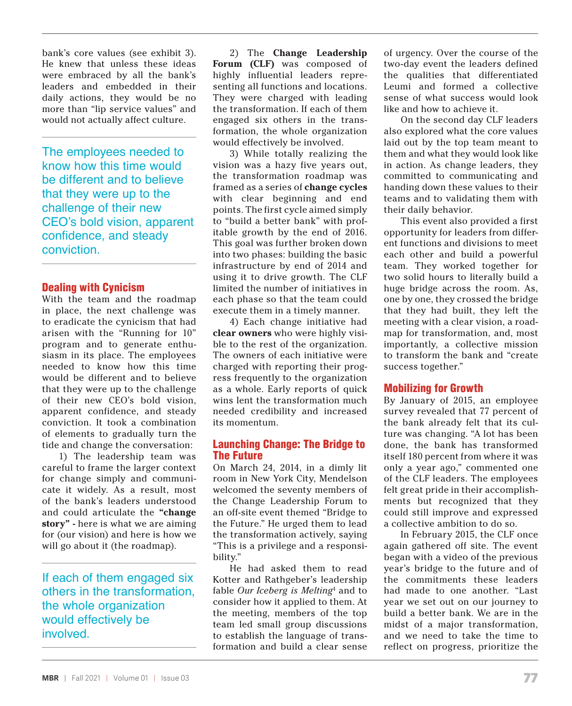bank's core values (see exhibit 3). He knew that unless these ideas were embraced by all the bank's leaders and embedded in their daily actions, they would be no more than "lip service values" and would not actually affect culture.

The employees needed to know how this time would be different and to believe that they were up to the challenge of their new CEO's bold vision, apparent confidence, and steady conviction.

#### Dealing with Cynicism

With the team and the roadmap in place, the next challenge was to eradicate the cynicism that had arisen with the "Running for 10" program and to generate enthusiasm in its place. The employees needed to know how this time would be different and to believe that they were up to the challenge of their new CEO's bold vision, apparent confidence, and steady conviction. It took a combination of elements to gradually turn the tide and change the conversation:

1) The leadership team was careful to frame the larger context for change simply and communicate it widely. As a result, most of the bank's leaders understood and could articulate the **"change story" -** here is what we are aiming for (our vision) and here is how we will go about it (the roadmap).

If each of them engaged six others in the transformation, the whole organization would effectively be involved.

2) The **Change Leadership Forum (CLF)** was composed of highly influential leaders representing all functions and locations. They were charged with leading the transformation. If each of them engaged six others in the transformation, the whole organization would effectively be involved.

3) While totally realizing the vision was a hazy five years out, the transformation roadmap was framed as a series of **change cycles** with clear beginning and end points. The first cycle aimed simply to "build a better bank" with profitable growth by the end of 2016. This goal was further broken down into two phases: building the basic infrastructure by end of 2014 and using it to drive growth. The CLF limited the number of initiatives in each phase so that the team could execute them in a timely manner.

4) Each change initiative had **clear owners** who were highly visible to the rest of the organization. The owners of each initiative were charged with reporting their progress frequently to the organization as a whole. Early reports of quick wins lent the transformation much needed credibility and increased its momentum.

#### Launching Change: The Bridge to The Future

On March 24, 2014, in a dimly lit room in New York City, Mendelson welcomed the seventy members of the Change Leadership Forum to an off-site event themed "Bridge to the Future." He urged them to lead the transformation actively, saying "This is a privilege and a responsibility."

He had asked them to read Kotter and Rathgeber's leadership fable *Our Iceberg is Melting*<sup>4</sup> and to consider how it applied to them. At the meeting, members of the top team led small group discussions to establish the language of transformation and build a clear sense

of urgency. Over the course of the two-day event the leaders defined the qualities that differentiated Leumi and formed a collective sense of what success would look like and how to achieve it.

On the second day CLF leaders also explored what the core values laid out by the top team meant to them and what they would look like in action. As change leaders, they committed to communicating and handing down these values to their teams and to validating them with their daily behavior.

This event also provided a first opportunity for leaders from different functions and divisions to meet each other and build a powerful team. They worked together for two solid hours to literally build a huge bridge across the room. As, one by one, they crossed the bridge that they had built, they left the meeting with a clear vision, a roadmap for transformation, and, most importantly, a collective mission to transform the bank and "create success together."

#### Mobilizing for Growth

By January of 2015, an employee survey revealed that 77 percent of the bank already felt that its culture was changing. "A lot has been done, the bank has transformed itself 180 percent from where it was only a year ago," commented one of the CLF leaders. The employees felt great pride in their accomplishments but recognized that they could still improve and expressed a collective ambition to do so.

In February 2015, the CLF once again gathered off site. The event began with a video of the previous year's bridge to the future and of the commitments these leaders had made to one another. "Last year we set out on our journey to build a better bank. We are in the midst of a major transformation, and we need to take the time to reflect on progress, prioritize the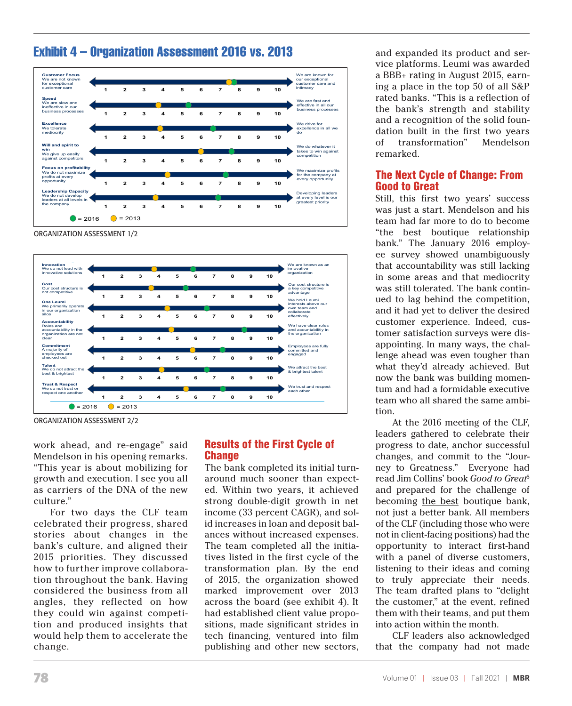

# Exhibit 4 – Organization Assessment 2016 vs. 2013<br>.

of transformation" Mendelson remarked.

ORGANIZATION ASSESSMENT 1/2



**Exhibit 4 – Organization Assessment 2016 vs. 2013** ORGANIZATION ASSESSMENT 2/2

work ahead, and re-engage" said Mendelson in his opening remarks. **Ch** "This year is about mobilizing for growth and execution. I see you all as carriers of the DNA of the new culture."

celebrated their progress, shared id increases in loan and depo stories about changes in the stories about changes in the ances without increased experience. 2015 priorities. They discussed tives listed in the first cycle of how to further improve collabora-<br>transformation plan. By the tion throughout the bank. Having considered the business from all marked improvement over angles, they reflected on how they could win against competition and produced insights that would help them to accelerate the change.

# Results of the First Cycle of **Change**

For two days the CLF team income (33 percent CAGR), and The bank completed its initial turnand execution. I see you all around much sooner than expects carriers of the DNA of the new ed. Within two years, it achieved strong double-digit growth in net income (33 percent CAGR), and solid increases in loan and deposit balances without increased expenses. The team completed all the initiatives listed in the first cycle of the transformation plan. By the end of 2015, the organization showed marked improvement over 2013 across the board (see exhibit 4). It had established client value propositions, made significant strides in tech financing, ventured into film publishing and other new sectors,

and expanded its product and service platforms. Leumi was awarded a BBB+ rating in August 2015, earning a place in the top 50 of all S&P rated banks. "This is a reflection of the bank's strength and stability and a recognition of the solid foundation built in the first two years of transformation" Mendelson remarked.

# The Next Cycle of Change: From Good to Great

Still, this first two years' success was just a start. Mendelson and his team had far more to do to become "the best boutique relationship bank." The January 2016 employee survey showed unambiguously that accountability was still lacking in some areas and that mediocrity was still tolerated. The bank continued to lag behind the competition, and it had yet to deliver the desired customer experience. Indeed, customer satisfaction surveys were disappointing. In many ways, the challenge ahead was even tougher than what they'd already achieved. But now the bank was building momentum and had a formidable executive team who all shared the same ambition.

At the 2016 meeting of the CLF, leaders gathered to celebrate their progress to date, anchor successful changes, and commit to the "Journey to Greatness." Everyone had read Jim Collins' book *Good to Great*<sup>5</sup> and prepared for the challenge of becoming the best boutique bank, not just a better bank. All members of the CLF (including those who were not in client-facing positions) had the opportunity to interact first-hand with a panel of diverse customers, listening to their ideas and coming to truly appreciate their needs. The team drafted plans to "delight the customer," at the event, refined them with their teams, and put them into action within the month.

CLF leaders also acknowledged that the company had not made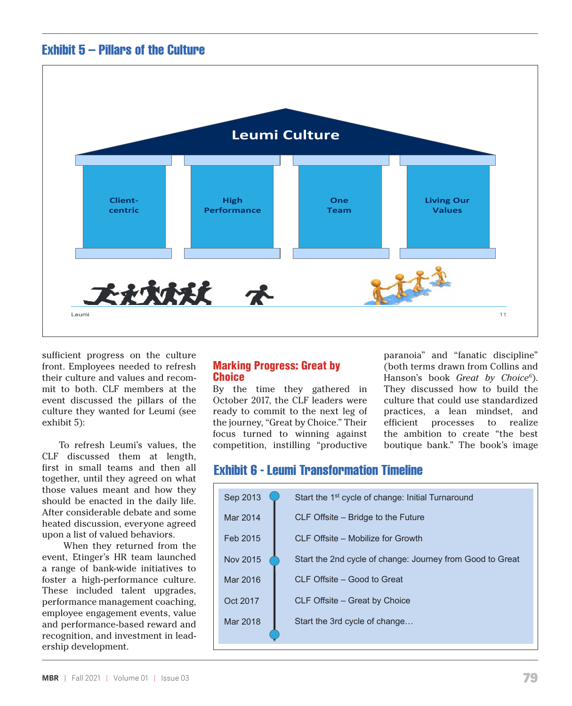

wanted for Leumi (see exhibit 5): the Leumi (see exhibit 5): the Leumi (see exhibit 5): the Leumi (see exhibit 5): the Leumi (see exhibit 5): the Leumi (see exhibit 5): the Leumi (see exhibit) (see exhibit) (see exhibit) (



sufficient progress on the culture front. Employees needed to refresh their culture and values and recommit to both. CLF members at the event discussed the pillars of the culture they wanted for Leumi (see exhibit 5):

To refresh Leumi's values, the CLF discussed them at length, first in small teams and then all together, until they agreed on what those values meant and how they should be enacted in the daily life. After considerable debate and some heated discussion, everyone agreed upon a list of valued behaviors.

When they returned from the event, Etinger's HR team launched a range of bank-wide initiatives to foster a high-performance culture. These included talent upgrades, performance management coaching, employee engagement events, value and performance-based reward and recognition, and investment in leadership development.

#### Marking Progress: Great by **Choice**

By the time they gathered in By the time they gathered in they assetssed how to band the<br>October 2017, the CLF leaders were culture that could use standardized ready to commit to the next leg of the journey, "Great by Choice." Their focus turned to winning against competition, instilling "productive

paranoia" and "fanatic discipline" **Tarking Progress: Great by** entity the oth terms drawn from Collins and **reformed and recalibrate**. Participants walked and recording to the second and recording to the second and recording to the second and recording to Hanson's book *Great by Choice*<sup>6</sup>). They discussed how to build the culture that could use standardized practices, a lean mindset, and ne journey, "Great by Choice." Their efficient processes to realize the ambition to create "the best boutique bank." The book's image

#### **Cycles of Change Punctuated by Change Leadership Forum (CLF) Gatherings** Exhibit 6 - Leumi Transformation Timeline

**Exhibit 6 - Leumi Transformation Timeline** 

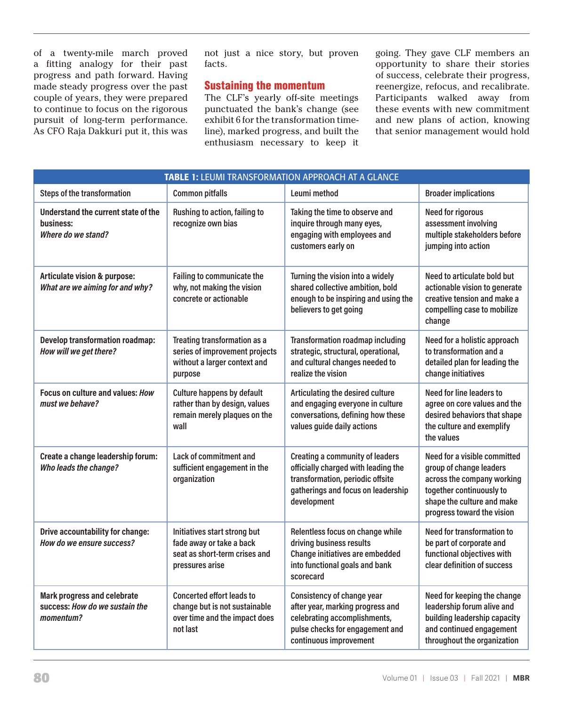of a twenty-mile march proved a fitting analogy for their past progress and path forward. Having made steady progress over the past couple of years, they were prepared to continue to focus on the rigorous pursuit of long-term performance. As CFO Raja Dakkuri put it, this was

not just a nice story, but proven facts.

# Sustaining the momentum

The CLF's yearly off-site meetings punctuated the bank's change (see exhibit 6 for the transformation timeline), marked progress, and built the enthusiasm necessary to keep it

going. They gave CLF members an opportunity to share their stories of success, celebrate their progress, reenergize, refocus, and recalibrate. Participants walked away from these events with new commitment and new plans of action, knowing that senior management would hold

| <b>TABLE 1: LEUMI TRANSFORMATION APPROACH AT A GLANCE</b>                         |                                                                                                                |                                                                                                                                                                        |                                                                                                                                                                               |
|-----------------------------------------------------------------------------------|----------------------------------------------------------------------------------------------------------------|------------------------------------------------------------------------------------------------------------------------------------------------------------------------|-------------------------------------------------------------------------------------------------------------------------------------------------------------------------------|
| <b>Steps of the transformation</b>                                                | <b>Common pitfalls</b>                                                                                         | Leumi method                                                                                                                                                           | <b>Broader implications</b>                                                                                                                                                   |
| Understand the current state of the<br>business:<br>Where do we stand?            | Rushing to action, failing to<br>recognize own bias                                                            | Taking the time to observe and<br>inquire through many eyes,<br>engaging with employees and<br>customers early on                                                      | <b>Need for rigorous</b><br>assessment involving<br>multiple stakeholders before<br>jumping into action                                                                       |
| <b>Articulate vision &amp; purpose:</b><br>What are we aiming for and why?        | Failing to communicate the<br>why, not making the vision<br>concrete or actionable                             | Turning the vision into a widely<br>shared collective ambition, bold<br>enough to be inspiring and using the<br>believers to get going                                 | Need to articulate bold but<br>actionable vision to generate<br>creative tension and make a<br>compelling case to mobilize<br>change                                          |
| <b>Develop transformation roadmap:</b><br>How will we get there?                  | Treating transformation as a<br>series of improvement projects<br>without a larger context and<br>purpose      | <b>Transformation roadmap including</b><br>strategic, structural, operational,<br>and cultural changes needed to<br>realize the vision                                 | Need for a holistic approach<br>to transformation and a<br>detailed plan for leading the<br>change initiatives                                                                |
| Focus on culture and values: How<br>must we behave?                               | <b>Culture happens by default</b><br>rather than by design, values<br>remain merely plaques on the<br>wall     | Articulating the desired culture<br>and engaging everyone in culture<br>conversations, defining how these<br>values guide daily actions                                | Need for line leaders to<br>agree on core values and the<br>desired behaviors that shape<br>the culture and exemplify<br>the values                                           |
| Create a change leadership forum:<br>Who leads the change?                        | Lack of commitment and<br>sufficient engagement in the<br>organization                                         | <b>Creating a community of leaders</b><br>officially charged with leading the<br>transformation, periodic offsite<br>gatherings and focus on leadership<br>development | Need for a visible committed<br>group of change leaders<br>across the company working<br>together continuously to<br>shape the culture and make<br>progress toward the vision |
| Drive accountability for change:<br>How do we ensure success?                     | Initiatives start strong but<br>fade away or take a back<br>seat as short-term crises and<br>pressures arise   | Relentless focus on change while<br>driving business results<br>Change initiatives are embedded<br>into functional goals and bank<br>scorecard                         | <b>Need for transformation to</b><br>be part of corporate and<br>functional objectives with<br>clear definition of success                                                    |
| <b>Mark progress and celebrate</b><br>success: How do we sustain the<br>momentum? | <b>Concerted effort leads to</b><br>change but is not sustainable<br>over time and the impact does<br>not last | Consistency of change year<br>after year, marking progress and<br>celebrating accomplishments,<br>pulse checks for engagement and<br>continuous improvement            | Need for keeping the change<br>leadership forum alive and<br>building leadership capacity<br>and continued engagement<br>throughout the organization                          |